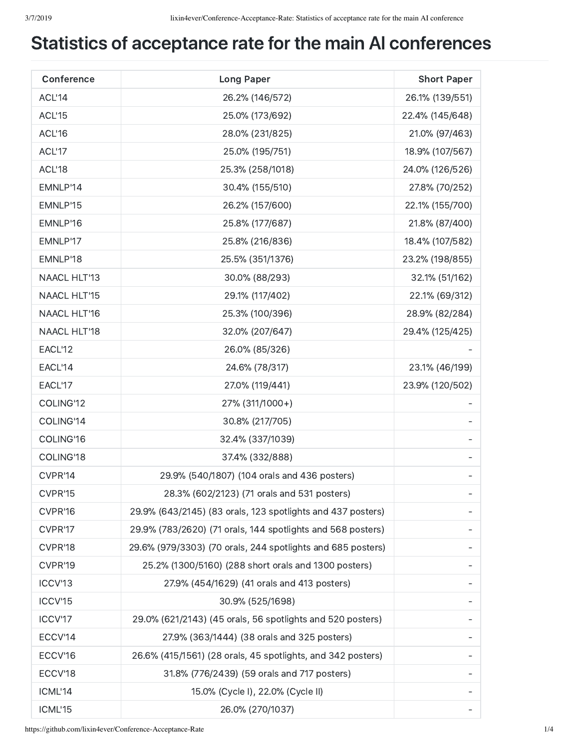## Statistics of acceptance rate for the main AI conferences

| Conference          | <b>Long Paper</b>                                           | <b>Short Paper</b> |
|---------------------|-------------------------------------------------------------|--------------------|
| ACL'14              | 26.2% (146/572)                                             | 26.1% (139/551)    |
| ACL'15              | 25.0% (173/692)                                             | 22.4% (145/648)    |
| ACL'16              | 28.0% (231/825)                                             | 21.0% (97/463)     |
| ACL'17              | 25.0% (195/751)                                             | 18.9% (107/567)    |
| ACL'18              | 25.3% (258/1018)                                            | 24.0% (126/526)    |
| EMNLP'14            | 30.4% (155/510)                                             | 27.8% (70/252)     |
| EMNLP'15            | 26.2% (157/600)                                             | 22.1% (155/700)    |
| EMNLP'16            | 25.8% (177/687)                                             | 21.8% (87/400)     |
| EMNLP'17            | 25.8% (216/836)                                             | 18.4% (107/582)    |
| EMNLP'18            | 25.5% (351/1376)                                            | 23.2% (198/855)    |
| NAACL HLT'13        | 30.0% (88/293)                                              | 32.1% (51/162)     |
| <b>NAACL HLT'15</b> | 29.1% (117/402)                                             | 22.1% (69/312)     |
| NAACL HLT'16        | 25.3% (100/396)                                             | 28.9% (82/284)     |
| <b>NAACL HLT'18</b> | 32.0% (207/647)                                             | 29.4% (125/425)    |
| EACL'12             | 26.0% (85/326)                                              |                    |
| EACL'14             | 24.6% (78/317)                                              | 23.1% (46/199)     |
| EACL'17             | 27.0% (119/441)                                             | 23.9% (120/502)    |
| COLING'12           | 27% (311/1000+)                                             |                    |
| COLING'14           | 30.8% (217/705)                                             |                    |
| COLING'16           | 32.4% (337/1039)                                            |                    |
| COLING'18           | 37.4% (332/888)                                             |                    |
| CVPR'14             | 29.9% (540/1807) (104 orals and 436 posters)                |                    |
| CVPR'15             | 28.3% (602/2123) (71 orals and 531 posters)                 |                    |
| CVPR'16             | 29.9% (643/2145) (83 orals, 123 spotlights and 437 posters) |                    |
| CVPR'17             | 29.9% (783/2620) (71 orals, 144 spotlights and 568 posters) |                    |
| CVPR'18             | 29.6% (979/3303) (70 orals, 244 spotlights and 685 posters) |                    |
| CVPR'19             | 25.2% (1300/5160) (288 short orals and 1300 posters)        |                    |
| ICCV'13             | 27.9% (454/1629) (41 orals and 413 posters)                 |                    |
| ICCV'15             | 30.9% (525/1698)                                            |                    |
| ICCV'17             | 29.0% (621/2143) (45 orals, 56 spotlights and 520 posters)  |                    |
| ECCV'14             | 27.9% (363/1444) (38 orals and 325 posters)                 |                    |
| ECCV'16             | 26.6% (415/1561) (28 orals, 45 spotlights, and 342 posters) |                    |
| ECCV'18             | 31.8% (776/2439) (59 orals and 717 posters)                 |                    |
| ICML'14             | 15.0% (Cycle I), 22.0% (Cycle II)                           |                    |
| ICML'15             | 26.0% (270/1037)                                            |                    |

https://github.com/lixin4ever/Conference-Acceptance-Rate 1/4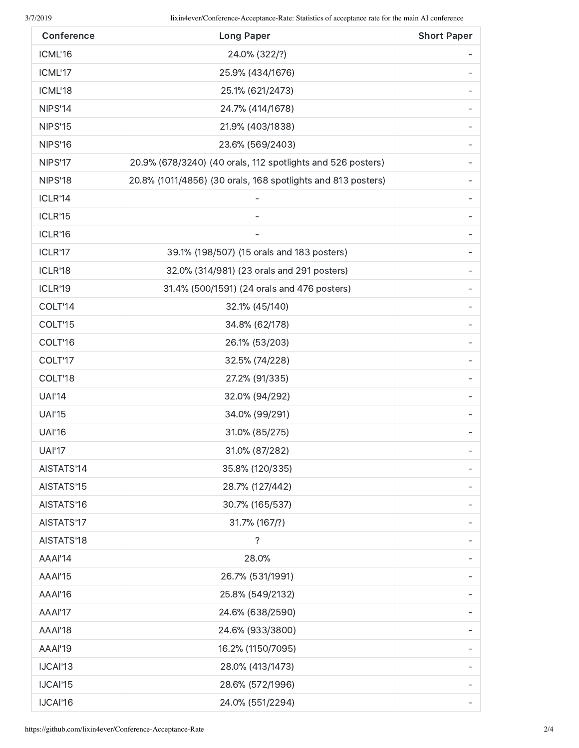| Conference    | <b>Long Paper</b>                                            | <b>Short Paper</b> |
|---------------|--------------------------------------------------------------|--------------------|
| ICML'16       | 24.0% (322/?)                                                |                    |
| ICML'17       | 25.9% (434/1676)                                             |                    |
| ICML'18       | 25.1% (621/2473)                                             |                    |
| NIPS'14       | 24.7% (414/1678)                                             |                    |
| NIPS'15       | 21.9% (403/1838)                                             |                    |
| NIPS'16       | 23.6% (569/2403)                                             |                    |
| NIPS'17       | 20.9% (678/3240) (40 orals, 112 spotlights and 526 posters)  |                    |
| NIPS'18       | 20.8% (1011/4856) (30 orals, 168 spotlights and 813 posters) |                    |
| ICLR'14       |                                                              |                    |
| ICLR'15       |                                                              |                    |
| ICLR'16       |                                                              |                    |
| ICLR'17       | 39.1% (198/507) (15 orals and 183 posters)                   |                    |
| ICLR'18       | 32.0% (314/981) (23 orals and 291 posters)                   |                    |
| ICLR'19       | 31.4% (500/1591) (24 orals and 476 posters)                  |                    |
| COLT'14       | 32.1% (45/140)                                               |                    |
| COLT'15       | 34.8% (62/178)                                               |                    |
| COLT'16       | 26.1% (53/203)                                               |                    |
| COLT'17       | 32.5% (74/228)                                               |                    |
| COLT'18       | 27.2% (91/335)                                               |                    |
| <b>UAI'14</b> | 32.0% (94/292)                                               |                    |
| <b>UAI'15</b> | 34.0% (99/291)                                               |                    |
| <b>UAI'16</b> | 31.0% (85/275)                                               |                    |
| <b>UAI'17</b> | 31.0% (87/282)                                               |                    |
| AISTATS'14    | 35.8% (120/335)                                              |                    |
| AISTATS'15    | 28.7% (127/442)                                              |                    |
| AISTATS'16    | 30.7% (165/537)                                              |                    |
| AISTATS'17    | 31.7% (167/?)                                                |                    |
| AISTATS'18    | $\ddot{\cdot}$                                               |                    |
| AAAI'14       | 28.0%                                                        |                    |
| AAAI'15       | 26.7% (531/1991)                                             |                    |
| AAAI'16       | 25.8% (549/2132)                                             |                    |
| AAAI'17       | 24.6% (638/2590)                                             |                    |
| AAAI'18       | 24.6% (933/3800)                                             |                    |
| AAAI'19       | 16.2% (1150/7095)                                            |                    |
| IJCAI'13      | 28.0% (413/1473)                                             |                    |
| IJCAI'15      | 28.6% (572/1996)                                             |                    |
| IJCAI'16      | 24.0% (551/2294)                                             |                    |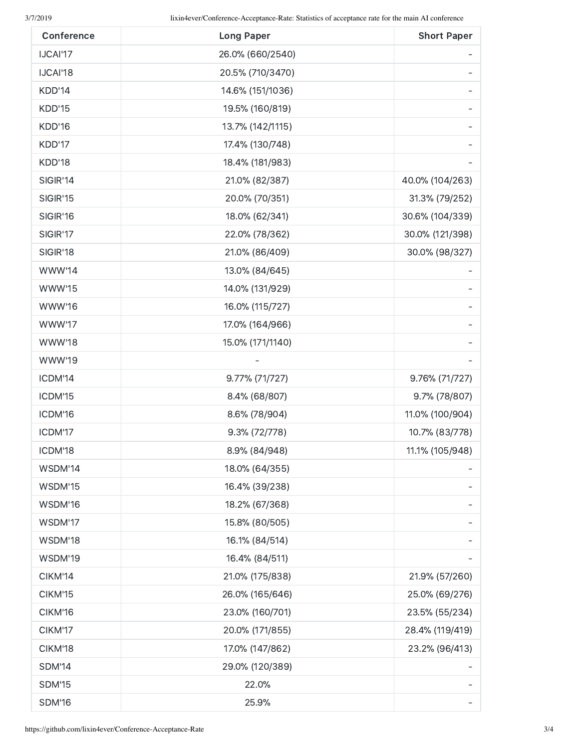| Conference    | <b>Long Paper</b> | <b>Short Paper</b> |
|---------------|-------------------|--------------------|
| IJCAI'17      | 26.0% (660/2540)  |                    |
| IJCAI'18      | 20.5% (710/3470)  |                    |
| KDD'14        | 14.6% (151/1036)  |                    |
| KDD'15        | 19.5% (160/819)   |                    |
| KDD'16        | 13.7% (142/1115)  |                    |
| KDD'17        | 17.4% (130/748)   |                    |
| KDD'18        | 18.4% (181/983)   |                    |
| SIGIR'14      | 21.0% (82/387)    | 40.0% (104/263)    |
| SIGIR'15      | 20.0% (70/351)    | 31.3% (79/252)     |
| SIGIR'16      | 18.0% (62/341)    | 30.6% (104/339)    |
| SIGIR'17      | 22.0% (78/362)    | 30.0% (121/398)    |
| SIGIR'18      | 21.0% (86/409)    | 30.0% (98/327)     |
| <b>WWW'14</b> | 13.0% (84/645)    |                    |
| <b>WWW'15</b> | 14.0% (131/929)   |                    |
| <b>WWW'16</b> | 16.0% (115/727)   |                    |
| WWW'17        | 17.0% (164/966)   |                    |
| <b>WWW'18</b> | 15.0% (171/1140)  |                    |
| WWW'19        |                   |                    |
| ICDM'14       | 9.77% (71/727)    | 9.76% (71/727)     |
| ICDM'15       | 8.4% (68/807)     | 9.7% (78/807)      |
| ICDM'16       | 8.6% (78/904)     | 11.0% (100/904)    |
| ICDM'17       | 9.3% (72/778)     | 10.7% (83/778)     |
| ICDM'18       | 8.9% (84/948)     | 11.1% (105/948)    |
| WSDM'14       | 18.0% (64/355)    |                    |
| WSDM'15       | 16.4% (39/238)    |                    |
| WSDM'16       | 18.2% (67/368)    |                    |
| WSDM'17       | 15.8% (80/505)    |                    |
| WSDM'18       | 16.1% (84/514)    |                    |
| WSDM'19       | 16.4% (84/511)    |                    |
| CIKM'14       | 21.0% (175/838)   | 21.9% (57/260)     |
| CIKM'15       | 26.0% (165/646)   | 25.0% (69/276)     |
| CIKM'16       | 23.0% (160/701)   | 23.5% (55/234)     |
| CIKM'17       | 20.0% (171/855)   | 28.4% (119/419)    |
| CIKM'18       | 17.0% (147/862)   | 23.2% (96/413)     |
| <b>SDM'14</b> | 29.0% (120/389)   |                    |
| <b>SDM'15</b> | 22.0%             |                    |
| <b>SDM'16</b> | 25.9%             |                    |